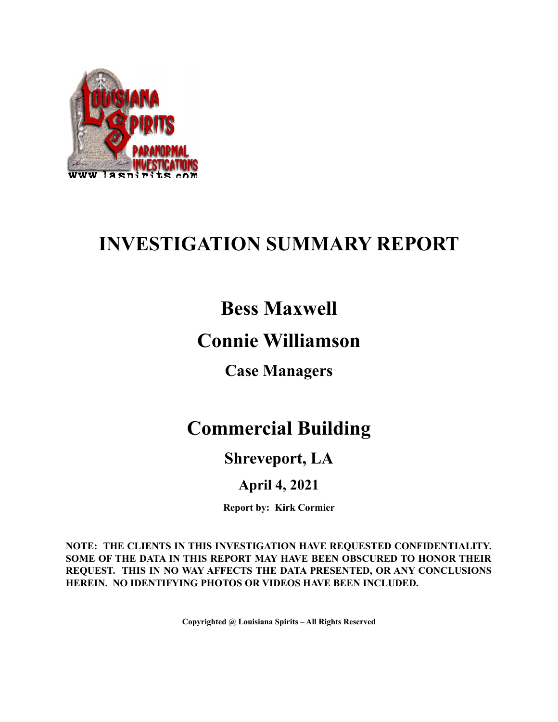

# **INVESTIGATION SUMMARY REPORT**

## **Bess Maxwell**

## **Connie Williamson**

**Case Managers**

## **Commercial Building**

## **Shreveport, LA**

## **April 4, 2021**

**Report by: Kirk Cormier**

**NOTE: THE CLIENTS IN THIS INVESTIGATION HAVE REQUESTED CONFIDENTIALITY. SOME OF THE DATA IN THIS REPORT MAY HAVE BEEN OBSCURED TO HONOR THEIR REQUEST. THIS IN NO WAY AFFECTS THE DATA PRESENTED, OR ANY CONCLUSIONS HEREIN. NO IDENTIFYING PHOTOS OR VIDEOS HAVE BEEN INCLUDED.**

**Copyrighted @ Louisiana Spirits – All Rights Reserved**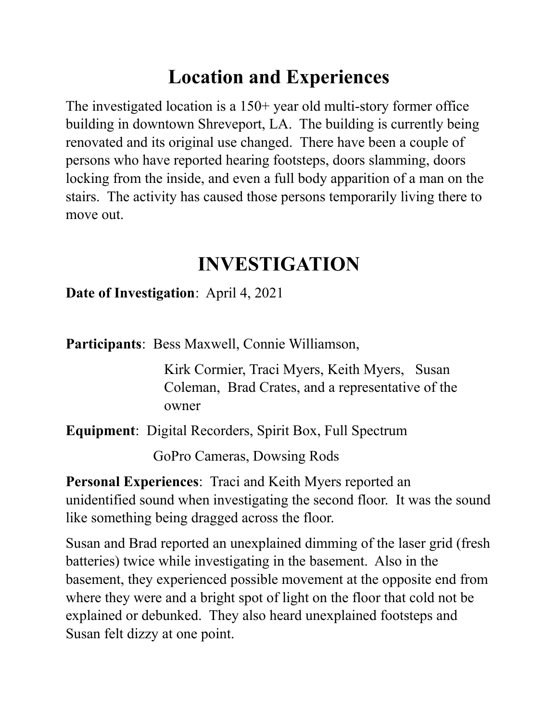# **Location and Experiences**

The investigated location is a 150+ year old multi-story former office building in downtown Shreveport, LA. The building is currently being renovated and its original use changed. There have been a couple of persons who have reported hearing footsteps, doors slamming, doors locking from the inside, and even a full body apparition of a man on the stairs. The activity has caused those persons temporarily living there to move out.

# **INVESTIGATION**

### **Date of Investigation**: April 4, 2021

**Participants**: Bess Maxwell, Connie Williamson,

Kirk Cormier, Traci Myers, Keith Myers, Susan Coleman, Brad Crates, and a representative of the owner

**Equipment**: Digital Recorders, Spirit Box, Full Spectrum

GoPro Cameras, Dowsing Rods

**Personal Experiences**: Traci and Keith Myers reported an unidentified sound when investigating the second floor. It was the sound like something being dragged across the floor.

Susan and Brad reported an unexplained dimming of the laser grid (fresh batteries) twice while investigating in the basement. Also in the basement, they experienced possible movement at the opposite end from where they were and a bright spot of light on the floor that cold not be explained or debunked. They also heard unexplained footsteps and Susan felt dizzy at one point.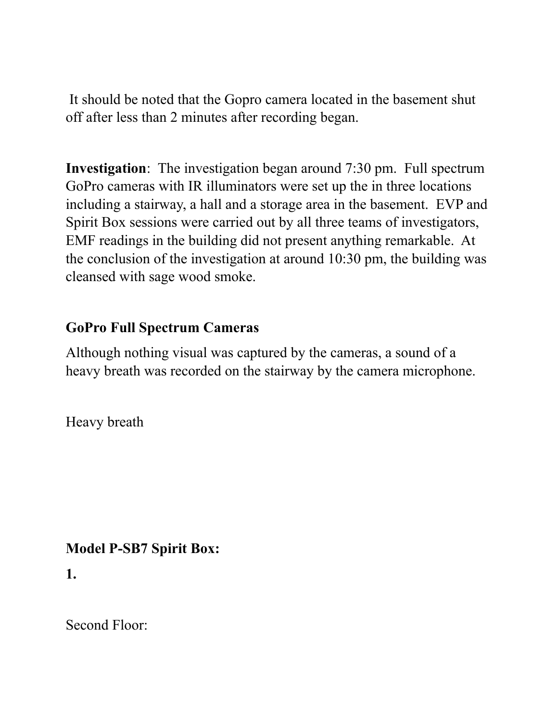It should be noted that the Gopro camera located in the basement shut off after less than 2 minutes after recording began.

**Investigation**: The investigation began around 7:30 pm. Full spectrum GoPro cameras with IR illuminators were set up the in three locations including a stairway, a hall and a storage area in the basement. EVP and Spirit Box sessions were carried out by all three teams of investigators, EMF readings in the building did not present anything remarkable. At the conclusion of the investigation at around 10:30 pm, the building was cleansed with sage wood smoke.

### **GoPro Full Spectrum Cameras**

Although nothing visual was captured by the cameras, a sound of a heavy breath was recorded on the stairway by the camera microphone.

Heavy breath

### **Model P-SB7 Spirit Box:**

**1.**

Second Floor: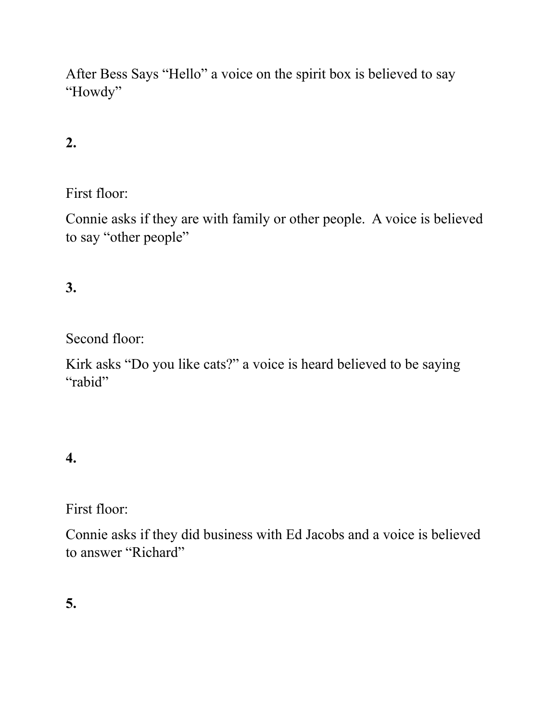After Bess Says "Hello" a voice on the spirit box is believed to say "Howdy"

### **2.**

First floor:

Connie asks if they are with family or other people. A voice is believed to say "other people"

#### **3.**

Second floor:

Kirk asks "Do you like cats?" a voice is heard believed to be saying "rabid"

#### **4.**

First floor:

Connie asks if they did business with Ed Jacobs and a voice is believed to answer "Richard"

**5.**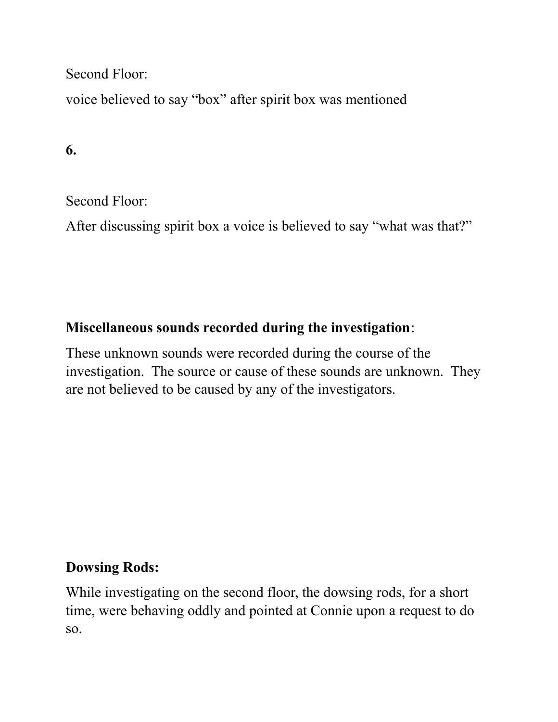Second Floor:

voice believed to say "box" after spirit box was mentioned

**6.**

Second Floor:

After discussing spirit box a voice is believed to say "what was that?"

### **Miscellaneous sounds recorded during the investigation**:

These unknown sounds were recorded during the course of the investigation. The source or cause of these sounds are unknown. They are not believed to be caused by any of the investigators.

### **Dowsing Rods:**

While investigating on the second floor, the dowsing rods, for a short time, were behaving oddly and pointed at Connie upon a request to do so.